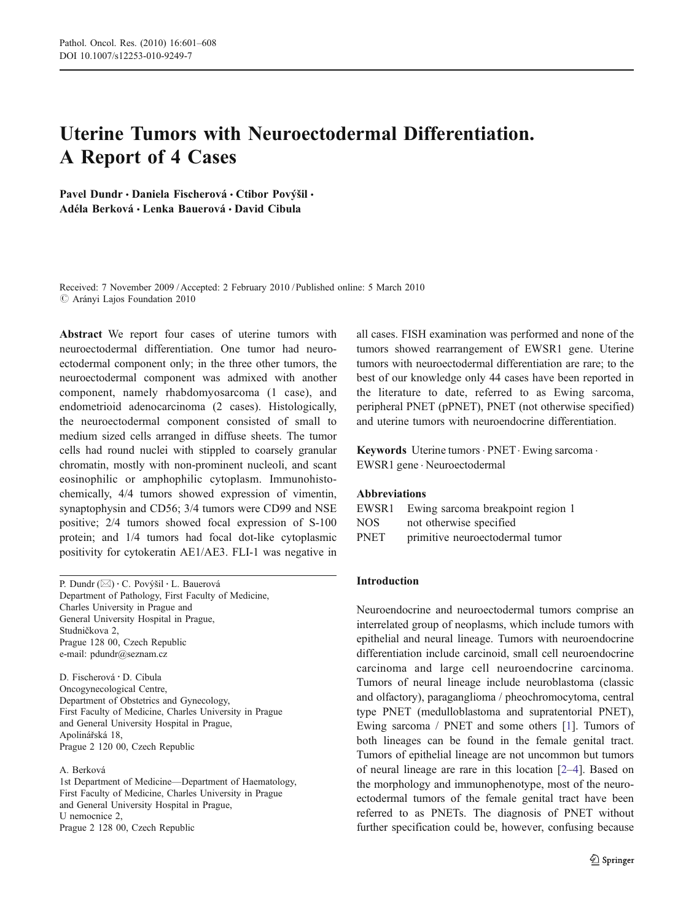# Uterine Tumors with Neuroectodermal Differentiation. A Report of 4 Cases

Pavel Dundr · Daniela Fischerová · Ctibor Povýšil · Adéla Berková & Lenka Bauerová & David Cibula

Received: 7 November 2009 / Accepted: 2 February 2010 / Published online: 5 March 2010  $\oslash$  Arányi Lajos Foundation 2010

Abstract We report four cases of uterine tumors with neuroectodermal differentiation. One tumor had neuroectodermal component only; in the three other tumors, the neuroectodermal component was admixed with another component, namely rhabdomyosarcoma (1 case), and endometrioid adenocarcinoma (2 cases). Histologically, the neuroectodermal component consisted of small to medium sized cells arranged in diffuse sheets. The tumor cells had round nuclei with stippled to coarsely granular chromatin, mostly with non-prominent nucleoli, and scant eosinophilic or amphophilic cytoplasm. Immunohistochemically, 4/4 tumors showed expression of vimentin, synaptophysin and CD56; 3/4 tumors were CD99 and NSE positive; 2/4 tumors showed focal expression of S-100 protein; and 1/4 tumors had focal dot-like cytoplasmic positivity for cytokeratin AE1/AE3. FLI-1 was negative in

P. Dundr (⊠) · C. Povýšil · L. Bauerová Department of Pathology, First Faculty of Medicine, Charles University in Prague and General University Hospital in Prague, Studničkova 2, Prague 128 00, Czech Republic e-mail: pdundr@seznam.cz

D. Fischerová : D. Cibula Oncogynecological Centre, Department of Obstetrics and Gynecology, First Faculty of Medicine, Charles University in Prague and General University Hospital in Prague, Apolinářská 18, Prague 2 120 00, Czech Republic

A. Berková

1st Department of Medicine—Department of Haematology, First Faculty of Medicine, Charles University in Prague and General University Hospital in Prague, U nemocnice 2, Prague 2 128 00, Czech Republic

all cases. FISH examination was performed and none of the tumors showed rearrangement of EWSR1 gene. Uterine tumors with neuroectodermal differentiation are rare; to the best of our knowledge only 44 cases have been reported in the literature to date, referred to as Ewing sarcoma, peripheral PNET (pPNET), PNET (not otherwise specified) and uterine tumors with neuroendocrine differentiation.

Keywords Uterine tumors · PNET · Ewing sarcoma · EWSR1 gene . Neuroectodermal

## Abbreviations

| EWSR1       | Ewing sarcoma breakpoint region 1 |
|-------------|-----------------------------------|
| NOS.        | not otherwise specified           |
| <b>PNET</b> | primitive neuroectodermal tumor   |

## Introduction

Neuroendocrine and neuroectodermal tumors comprise an interrelated group of neoplasms, which include tumors with epithelial and neural lineage. Tumors with neuroendocrine differentiation include carcinoid, small cell neuroendocrine carcinoma and large cell neuroendocrine carcinoma. Tumors of neural lineage include neuroblastoma (classic and olfactory), paraganglioma / pheochromocytoma, central type PNET (medulloblastoma and supratentorial PNET), Ewing sarcoma / PNET and some others [[1\]](#page-6-0). Tumors of both lineages can be found in the female genital tract. Tumors of epithelial lineage are not uncommon but tumors of neural lineage are rare in this location [[2](#page-6-0)–[4\]](#page-6-0). Based on the morphology and immunophenotype, most of the neuroectodermal tumors of the female genital tract have been referred to as PNETs. The diagnosis of PNET without further specification could be, however, confusing because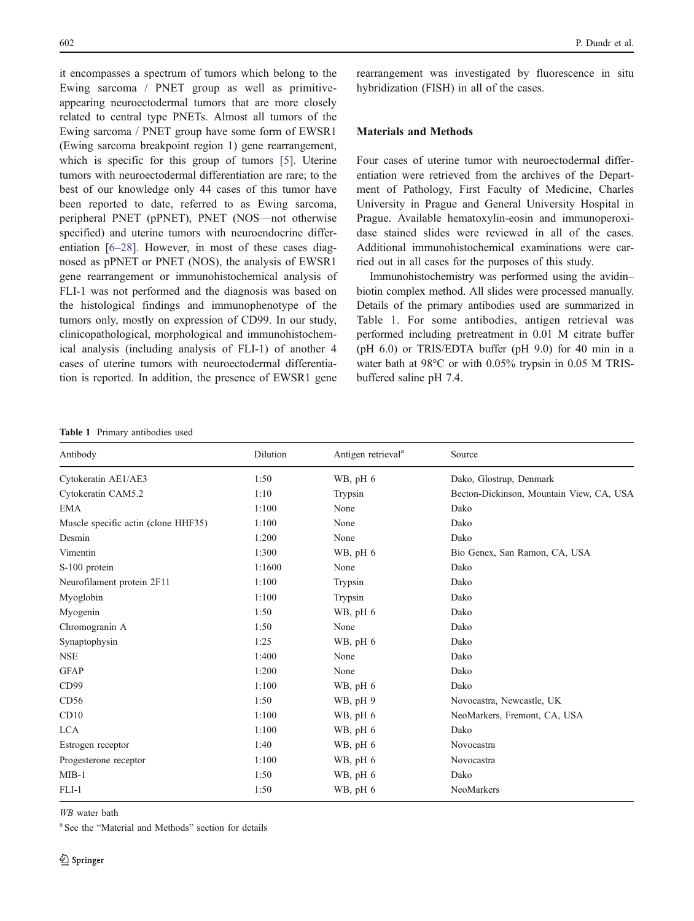it encompasses a spectrum of tumors which belong to the Ewing sarcoma / PNET group as well as primitiveappearing neuroectodermal tumors that are more closely related to central type PNETs. Almost all tumors of the Ewing sarcoma / PNET group have some form of EWSR1 (Ewing sarcoma breakpoint region 1) gene rearrangement, which is specific for this group of tumors [\[5](#page-6-0)]. Uterine tumors with neuroectodermal differentiation are rare; to the best of our knowledge only 44 cases of this tumor have been reported to date, referred to as Ewing sarcoma, peripheral PNET (pPNET), PNET (NOS—not otherwise specified) and uterine tumors with neuroendocrine differentiation [[6](#page-6-0)–[28\]](#page-6-0). However, in most of these cases diagnosed as pPNET or PNET (NOS), the analysis of EWSR1 gene rearrangement or immunohistochemical analysis of FLI-1 was not performed and the diagnosis was based on the histological findings and immunophenotype of the tumors only, mostly on expression of CD99. In our study, clinicopathological, morphological and immunohistochemical analysis (including analysis of FLI-1) of another 4 cases of uterine tumors with neuroectodermal differentiation is reported. In addition, the presence of EWSR1 gene

Table 1 Primary antibodies used

rearrangement was investigated by fluorescence in situ hybridization (FISH) in all of the cases.

### Materials and Methods

Four cases of uterine tumor with neuroectodermal differentiation were retrieved from the archives of the Department of Pathology, First Faculty of Medicine, Charles University in Prague and General University Hospital in Prague. Available hematoxylin-eosin and immunoperoxidase stained slides were reviewed in all of the cases. Additional immunohistochemical examinations were carried out in all cases for the purposes of this study.

Immunohistochemistry was performed using the avidin– biotin complex method. All slides were processed manually. Details of the primary antibodies used are summarized in Table 1. For some antibodies, antigen retrieval was performed including pretreatment in 0.01 M citrate buffer (pH 6.0) or TRIS/EDTA buffer (pH 9.0) for 40 min in a water bath at 98°C or with 0.05% trypsin in 0.05 M TRISbuffered saline pH 7.4.

| Antibody                            | Dilution | Antigen retrieval <sup>a</sup> | Source                                   |
|-------------------------------------|----------|--------------------------------|------------------------------------------|
| Cytokeratin AE1/AE3                 | 1:50     | WB, pH 6                       | Dako, Glostrup, Denmark                  |
| Cytokeratin CAM5.2                  | 1:10     | Trypsin                        | Becton-Dickinson, Mountain View, CA, USA |
| EMA                                 | 1:100    | None                           | Dako                                     |
| Muscle specific actin (clone HHF35) | 1:100    | None                           | Dako                                     |
| Desmin                              | 1:200    | None                           | Dako                                     |
| Vimentin                            | 1:300    | WB, $pH_6$                     | Bio Genex, San Ramon, CA, USA            |
| S-100 protein                       | 1:1600   | None                           | Dako                                     |
| Neurofilament protein 2F11          | 1:100    | Trypsin                        | Dako                                     |
| Myoglobin                           | 1:100    | Trypsin                        | Dako                                     |
| Myogenin                            | 1:50     | WB, $pH_6$                     | Dako                                     |
| Chromogranin A                      | 1:50     | None                           | Dako                                     |
| Synaptophysin                       | 1:25     | WB, pH 6                       | Dako                                     |
| <b>NSE</b>                          | 1:400    | None                           | Dako                                     |
| <b>GFAP</b>                         | 1:200    | None                           | Dako                                     |
| CD99                                | 1:100    | WB, pH 6                       | Dako                                     |
| CD56                                | 1:50     | WB, pH 9                       | Novocastra, Newcastle, UK                |
| CD10                                | 1:100    | WB, $pH_6$                     | NeoMarkers, Fremont, CA, USA             |
| <b>LCA</b>                          | 1:100    | WB, pH 6                       | Dako                                     |
| Estrogen receptor                   | 1:40     | WB, $pH_6$                     | Novocastra                               |
| Progesterone receptor               | 1:100    | WB, $pH_6$                     | Novocastra                               |
| $MIB-1$                             | 1:50     | WB, $pH_6$                     | Dako                                     |
| $FLI-1$                             | 1:50     | WB, pH 6                       | NeoMarkers                               |

WB water bath

<sup>a</sup> See the "Material and Methods" section for details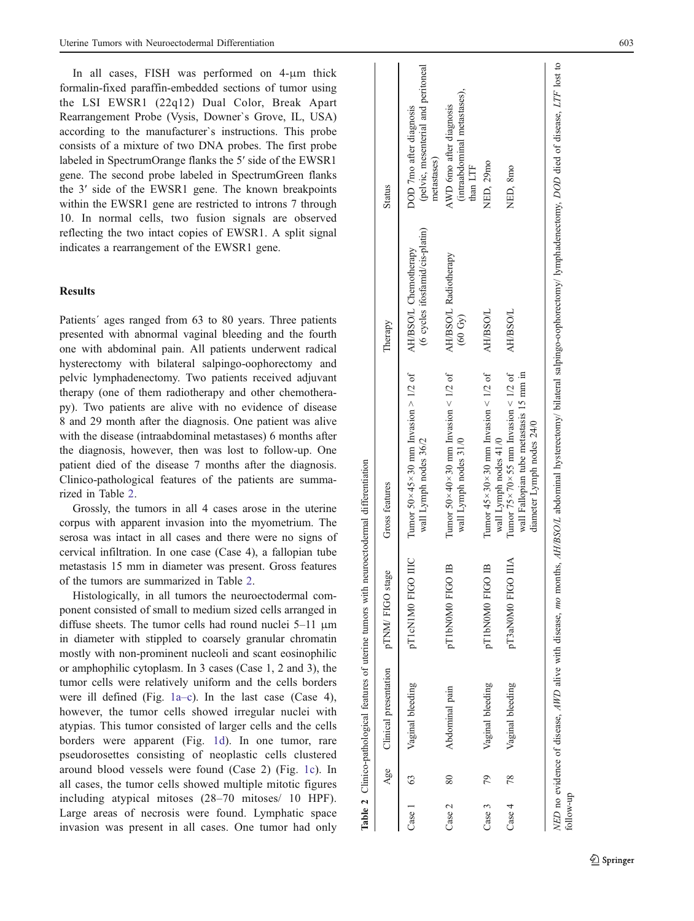In all cases, FISH was performed on 4- μm thick formalin-fixed paraffin-embedded sections of tumor using the LSI EWSR1 (22q12) Dual Color, Break Apart Rearrangement Probe (Vysis, Downer`s Grove, IL, USA) according to the manufacturer`s instructions. This probe consists of a mixture of two DNA probes. The first probe labeled in SpectrumOrange flanks the 5 ′ side of the EWSR1 gene. The second probe labeled in SpectrumGreen flanks the 3 ′ side of the EWSR1 gene. The known breakpoints within the EWSR1 gene are restricted to introns 7 through 10. In normal cells, two fusion signals are observed reflecting the two intact copies of EWSR1. A split signal indicates a rearrangement of the EWSR1 gene.

## **Results**

Patients' ages ranged from 63 to 80 years. Three patients presented with abnormal vaginal bleeding and the fourth one with abdominal pain. All patients underwent radical hysterectomy with bilateral salpingo-oophorectomy and pelvic lymphadenectomy. Two patients received adjuvant therapy (one of them radiotherapy and other chemotherapy). Two patients are alive with no evidence of disease 8 and 29 month after the diagnosis. One patient was alive with the disease (intraabdominal metastases) 6 months after the diagnosis, however, then was lost to follow-up. One patient died of the disease 7 months after the diagnosis. Clinico-pathological features of the patients are summarized in Table 2.

Grossly, the tumors in all 4 cases arose in the uterine corpus with apparent invasion into the myometrium. The serosa was intact in all cases and there were no signs of cervical infiltration. In one case (Case 4), a fallopian tube metastasis 15 mm in diameter was present. Gross features of the tumors are summarized in Table 2 .

Histologically, in all tumors the neuroectodermal component consisted of small to medium sized cells arranged in diffuse sheets. The tumor cells had round nuclei 5–11 μm in diameter with stippled to coarsely granular chromatin mostly with non-prominent nucleoli and scant eosinophilic or amphophilic cytoplasm. In 3 cases (Case 1, 2 and 3), the tumor cells were relatively uniform and the cells borders were ill defined (Fig. [1a](#page-3-0)– c). In the last case (Case 4), however, the tumor cells showed irregular nuclei with atypias. This tumor consisted of larger cells and the cells borders were apparent (Fig. [1d](#page-3-0)). In one tumor, rare pseudorosettes consisting of neoplastic cells clustered around blood vessels were found (Case 2) (Fig. [1c](#page-3-0)). In all cases, the tumor cells showed multiple mitotic figures including atypical mitoses (28 –70 mitoses/ 10 HPF). Large areas of necrosis were found. Lymphatic space invasion was present in all cases. One tumor had only  $\overline{a}$ 

| $Case 1$ 63 |    | Vaginal bleeding | pT1cN1M0 FIGO IIIC | Tumor 50×45×30 mm Invasion > 1/2 of<br>wall Lymph nodes 36/2                                                                                                                       | (6 cycles ifosfamid/cis-platin)<br>AH/BSO/L Chemotherapy | (pelvic, mesenterial and peritoneal<br>DOD 7mo after diagnosis<br>metastases) |
|-------------|----|------------------|--------------------|------------------------------------------------------------------------------------------------------------------------------------------------------------------------------------|----------------------------------------------------------|-------------------------------------------------------------------------------|
| Case 2      | 80 | Abdominal pain   | pT1bN0M0 FIGO IB   | Tumor 50 $\times$ 40 $\times$ 30 mm Invasion $\leq$ 1/2 of<br>wall Lymph nodes 31/0                                                                                                | AH/BSO/L Radiotherapy<br>(60 Gy)                         | (intraabdominal metastases),<br>AWD 6mo after diagnosis<br>than LTF           |
| Case 3      | 79 | Vaginal bleeding | pT1bN0M0 FIGO IB   | Tumor $45 \times 30 \times 30$ mm Invasion < 1/2 of<br>wall Lymph nodes 41/0                                                                                                       | AH/BSO/L                                                 | NED, 29mo                                                                     |
| Case 4      | 78 | Vaginal bleeding | pT3aN0M0 FIGO IIIA | Tumor 75×70×55 mm Invasion < 1/2 of<br>wall Fallopian tube metastasis 15 mm in<br>diameter Lymph nodes 24/0                                                                        | <b>AH/BSO/L</b>                                          | NED, 8mo                                                                      |
| follow-up   |    |                  |                    | NED no evidence of disease, AWD alive with disease, mo months, AH/BSO/L abdominal hysterectomy/ bilateral salpingo-oophorectomy/ lymphadenectomy, DOD died of disease, LTF lost to |                                                          |                                                                               |

Table 2 Clinico-pathological features of uterine tumors with neuroectodermal differentiation

Table 2 Clinico-pathological features of uterine tumors with neuroectodermal differentiation

Age Clinical presentation pTNM/ FIGO stage Gross features Therapy Status

Gross features

pTNM/FIGO stage

Clinical presentation

Age

 $\overline{1}$ 

**Status** 

Therapy

 $\equiv$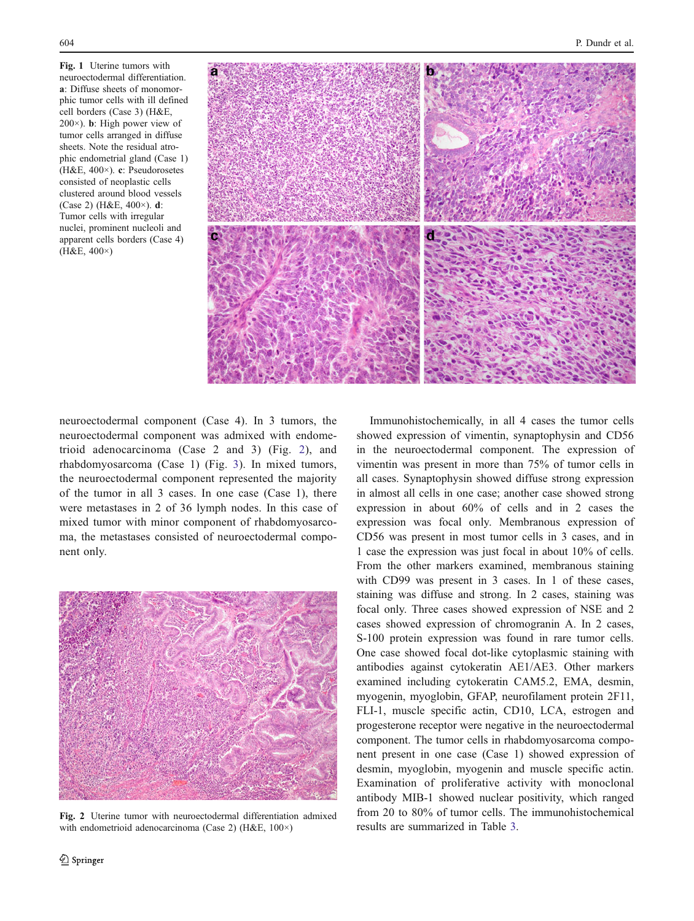<span id="page-3-0"></span>Fig. 1 Uterine tumors with neuroectodermal differentiation. a: Diffuse sheets of monomorphic tumor cells with ill defined cell borders (Case 3) (H&E, 200×). b: High power view of tumor cells arranged in diffuse sheets. Note the residual atrophic endometrial gland (Case 1) (H&E, 400×). c: Pseudorosetes consisted of neoplastic cells clustered around blood vessels (Case 2) (H&E, 400×). d: Tumor cells with irregular nuclei, prominent nucleoli and apparent cells borders (Case 4) (H&E, 400×)



neuroectodermal component (Case 4). In 3 tumors, the neuroectodermal component was admixed with endometrioid adenocarcinoma (Case 2 and 3) (Fig. 2), and rhabdomyosarcoma (Case 1) (Fig. [3](#page-4-0)). In mixed tumors, the neuroectodermal component represented the majority of the tumor in all 3 cases. In one case (Case 1), there were metastases in 2 of 36 lymph nodes. In this case of mixed tumor with minor component of rhabdomyosarcoma, the metastases consisted of neuroectodermal component only.



Fig. 2 Uterine tumor with neuroectodermal differentiation admixed<br>with endometrioid adenocarcinoma (Case 2) (H&E, 100×) results are summarized in Table [3.](#page-4-0) with endometrioid adenocarcinoma (Case 2) (H&E, 100×)

Immunohistochemically, in all 4 cases the tumor cells showed expression of vimentin, synaptophysin and CD56 in the neuroectodermal component. The expression of vimentin was present in more than 75% of tumor cells in all cases. Synaptophysin showed diffuse strong expression in almost all cells in one case; another case showed strong expression in about 60% of cells and in 2 cases the expression was focal only. Membranous expression of CD56 was present in most tumor cells in 3 cases, and in 1 case the expression was just focal in about 10% of cells. From the other markers examined, membranous staining with CD99 was present in 3 cases. In 1 of these cases, staining was diffuse and strong. In 2 cases, staining was focal only. Three cases showed expression of NSE and 2 cases showed expression of chromogranin A. In 2 cases, S-100 protein expression was found in rare tumor cells. One case showed focal dot-like cytoplasmic staining with antibodies against cytokeratin AE1/AE3. Other markers examined including cytokeratin CAM5.2, EMA, desmin, myogenin, myoglobin, GFAP, neurofilament protein 2F11, FLI-1, muscle specific actin, CD10, LCA, estrogen and progesterone receptor were negative in the neuroectodermal component. The tumor cells in rhabdomyosarcoma component present in one case (Case 1) showed expression of desmin, myoglobin, myogenin and muscle specific actin. Examination of proliferative activity with monoclonal antibody MIB-1 showed nuclear positivity, which ranged from 20 to 80% of tumor cells. The immunohistochemical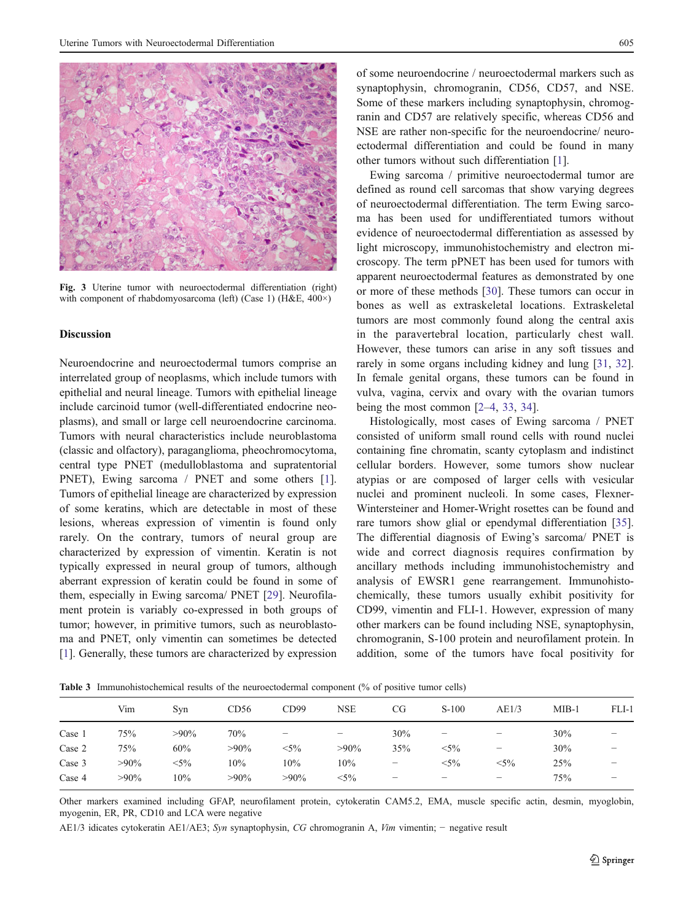<span id="page-4-0"></span>

Fig. 3 Uterine tumor with neuroectodermal differentiation (right) with component of rhabdomyosarcoma (left) (Case 1) (H&E, 400×)

#### **Discussion**

Neuroendocrine and neuroectodermal tumors comprise an interrelated group of neoplasms, which include tumors with epithelial and neural lineage. Tumors with epithelial lineage include carcinoid tumor (well-differentiated endocrine neoplasms), and small or large cell neuroendocrine carcinoma. Tumors with neural characteristics include neuroblastoma (classic and olfactory), paraganglioma, pheochromocytoma, central type PNET (medulloblastoma and supratentorial PNET), Ewing sarcoma / PNET and some others [\[1](#page-6-0)]. Tumors of epithelial lineage are characterized by expression of some keratins, which are detectable in most of these lesions, whereas expression of vimentin is found only rarely. On the contrary, tumors of neural group are characterized by expression of vimentin. Keratin is not typically expressed in neural group of tumors, although aberrant expression of keratin could be found in some of them, especially in Ewing sarcoma/ PNET [\[29](#page-6-0)]. Neurofilament protein is variably co-expressed in both groups of tumor; however, in primitive tumors, such as neuroblastoma and PNET, only vimentin can sometimes be detected [\[1](#page-6-0)]. Generally, these tumors are characterized by expression of some neuroendocrine / neuroectodermal markers such as synaptophysin, chromogranin, CD56, CD57, and NSE. Some of these markers including synaptophysin, chromogranin and CD57 are relatively specific, whereas CD56 and NSE are rather non-specific for the neuroendocrine/ neuroectodermal differentiation and could be found in many other tumors without such differentiation [\[1](#page-6-0)].

Ewing sarcoma / primitive neuroectodermal tumor are defined as round cell sarcomas that show varying degrees of neuroectodermal differentiation. The term Ewing sarcoma has been used for undifferentiated tumors without evidence of neuroectodermal differentiation as assessed by light microscopy, immunohistochemistry and electron microscopy. The term pPNET has been used for tumors with apparent neuroectodermal features as demonstrated by one or more of these methods [\[30](#page-6-0)]. These tumors can occur in bones as well as extraskeletal locations. Extraskeletal tumors are most commonly found along the central axis in the paravertebral location, particularly chest wall. However, these tumors can arise in any soft tissues and rarely in some organs including kidney and lung [\[31](#page-6-0), [32\]](#page-6-0). In female genital organs, these tumors can be found in vulva, vagina, cervix and ovary with the ovarian tumors being the most common [[2](#page-6-0)–[4,](#page-6-0) [33](#page-7-0), [34](#page-7-0)].

Histologically, most cases of Ewing sarcoma / PNET consisted of uniform small round cells with round nuclei containing fine chromatin, scanty cytoplasm and indistinct cellular borders. However, some tumors show nuclear atypias or are composed of larger cells with vesicular nuclei and prominent nucleoli. In some cases, Flexner-Wintersteiner and Homer-Wright rosettes can be found and rare tumors show glial or ependymal differentiation [[35\]](#page-7-0). The differential diagnosis of Ewing's sarcoma/ PNET is wide and correct diagnosis requires confirmation by ancillary methods including immunohistochemistry and analysis of EWSR1 gene rearrangement. Immunohistochemically, these tumors usually exhibit positivity for CD99, vimentin and FLI-1. However, expression of many other markers can be found including NSE, synaptophysin, chromogranin, S-100 protein and neurofilament protein. In addition, some of the tumors have focal positivity for

Table 3 Immunohistochemical results of the neuroectodermal component (% of positive tumor cells) Vim Syn CD56 CD99 NSE CG S-100 AE1/3 MIB-1 FLI-1

 $Case 2$  75% 60% >90% <5% >90% 35% <5% − 30% − Case 3  $>90\%$   $<5\%$  10% 10% 10% −  $<5\%$   $<5\%$  25% −  $Case 4$  >90% 10% >90% >90% <5% − − − − 75% − Other markers examined including GFAP, neurofilament protein, cytokeratin CAM5.2, EMA, muscle specific actin, desmin, myoglobin,

 $\text{Case 1}$  75% >90% 70% − − 30% − − 30% −

myogenin, ER, PR, CD10 and LCA were negative

AE1/3 idicates cytokeratin AE1/AE3; Syn synaptophysin, CG chromogranin A, Vim vimentin; − negative result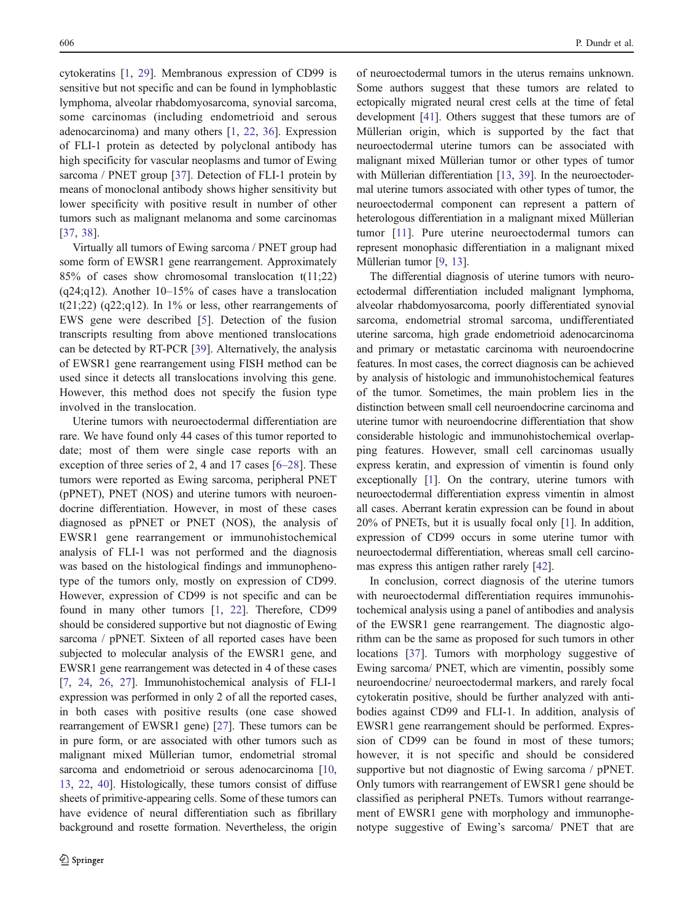cytokeratins [[1,](#page-6-0) [29\]](#page-6-0). Membranous expression of CD99 is sensitive but not specific and can be found in lymphoblastic lymphoma, alveolar rhabdomyosarcoma, synovial sarcoma, some carcinomas (including endometrioid and serous adenocarcinoma) and many others [\[1](#page-6-0), [22](#page-6-0), [36\]](#page-7-0). Expression of FLI-1 protein as detected by polyclonal antibody has high specificity for vascular neoplasms and tumor of Ewing sarcoma / PNET group [\[37](#page-7-0)]. Detection of FLI-1 protein by means of monoclonal antibody shows higher sensitivity but lower specificity with positive result in number of other tumors such as malignant melanoma and some carcinomas [\[37](#page-7-0), [38\]](#page-7-0).

Virtually all tumors of Ewing sarcoma / PNET group had some form of EWSR1 gene rearrangement. Approximately 85% of cases show chromosomal translocation t(11;22)  $(q24;q12)$ . Another  $10-15%$  of cases have a translocation  $t(21;22)$  (q22;q12). In 1% or less, other rearrangements of EWS gene were described [[5\]](#page-6-0). Detection of the fusion transcripts resulting from above mentioned translocations can be detected by RT-PCR [\[39](#page-7-0)]. Alternatively, the analysis of EWSR1 gene rearrangement using FISH method can be used since it detects all translocations involving this gene. However, this method does not specify the fusion type involved in the translocation.

Uterine tumors with neuroectodermal differentiation are rare. We have found only 44 cases of this tumor reported to date; most of them were single case reports with an exception of three series of 2, 4 and 17 cases [\[6](#page-6-0)–[28\]](#page-6-0). These tumors were reported as Ewing sarcoma, peripheral PNET (pPNET), PNET (NOS) and uterine tumors with neuroendocrine differentiation. However, in most of these cases diagnosed as pPNET or PNET (NOS), the analysis of EWSR1 gene rearrangement or immunohistochemical analysis of FLI-1 was not performed and the diagnosis was based on the histological findings and immunophenotype of the tumors only, mostly on expression of CD99. However, expression of CD99 is not specific and can be found in many other tumors [\[1](#page-6-0), [22\]](#page-6-0). Therefore, CD99 should be considered supportive but not diagnostic of Ewing sarcoma / pPNET. Sixteen of all reported cases have been subjected to molecular analysis of the EWSR1 gene, and EWSR1 gene rearrangement was detected in 4 of these cases [\[7](#page-6-0), [24,](#page-6-0) [26,](#page-6-0) [27\]](#page-6-0). Immunohistochemical analysis of FLI-1 expression was performed in only 2 of all the reported cases, in both cases with positive results (one case showed rearrangement of EWSR1 gene) [\[27\]](#page-6-0). These tumors can be in pure form, or are associated with other tumors such as malignant mixed Müllerian tumor, endometrial stromal sarcoma and endometrioid or serous adenocarcinoma [[10,](#page-6-0) [13,](#page-6-0) [22](#page-6-0), [40\]](#page-7-0). Histologically, these tumors consist of diffuse sheets of primitive-appearing cells. Some of these tumors can have evidence of neural differentiation such as fibrillary background and rosette formation. Nevertheless, the origin

of neuroectodermal tumors in the uterus remains unknown. Some authors suggest that these tumors are related to ectopically migrated neural crest cells at the time of fetal development [[41](#page-7-0)]. Others suggest that these tumors are of Müllerian origin, which is supported by the fact that neuroectodermal uterine tumors can be associated with malignant mixed Müllerian tumor or other types of tumor with Müllerian differentiation [[13](#page-6-0), [39](#page-7-0)]. In the neuroectodermal uterine tumors associated with other types of tumor, the neuroectodermal component can represent a pattern of heterologous differentiation in a malignant mixed Müllerian tumor [[11\]](#page-6-0). Pure uterine neuroectodermal tumors can represent monophasic differentiation in a malignant mixed Müllerian tumor [\[9,](#page-6-0) [13](#page-6-0)].

The differential diagnosis of uterine tumors with neuroectodermal differentiation included malignant lymphoma, alveolar rhabdomyosarcoma, poorly differentiated synovial sarcoma, endometrial stromal sarcoma, undifferentiated uterine sarcoma, high grade endometrioid adenocarcinoma and primary or metastatic carcinoma with neuroendocrine features. In most cases, the correct diagnosis can be achieved by analysis of histologic and immunohistochemical features of the tumor. Sometimes, the main problem lies in the distinction between small cell neuroendocrine carcinoma and uterine tumor with neuroendocrine differentiation that show considerable histologic and immunohistochemical overlapping features. However, small cell carcinomas usually express keratin, and expression of vimentin is found only exceptionally [[1](#page-6-0)]. On the contrary, uterine tumors with neuroectodermal differentiation express vimentin in almost all cases. Aberrant keratin expression can be found in about 20% of PNETs, but it is usually focal only [[1\]](#page-6-0). In addition, expression of CD99 occurs in some uterine tumor with neuroectodermal differentiation, whereas small cell carcinomas express this antigen rather rarely [\[42](#page-7-0)].

In conclusion, correct diagnosis of the uterine tumors with neuroectodermal differentiation requires immunohistochemical analysis using a panel of antibodies and analysis of the EWSR1 gene rearrangement. The diagnostic algorithm can be the same as proposed for such tumors in other locations [\[37](#page-7-0)]. Tumors with morphology suggestive of Ewing sarcoma/ PNET, which are vimentin, possibly some neuroendocrine/ neuroectodermal markers, and rarely focal cytokeratin positive, should be further analyzed with antibodies against CD99 and FLI-1. In addition, analysis of EWSR1 gene rearrangement should be performed. Expression of CD99 can be found in most of these tumors; however, it is not specific and should be considered supportive but not diagnostic of Ewing sarcoma / pPNET. Only tumors with rearrangement of EWSR1 gene should be classified as peripheral PNETs. Tumors without rearrangement of EWSR1 gene with morphology and immunophenotype suggestive of Ewing's sarcoma/ PNET that are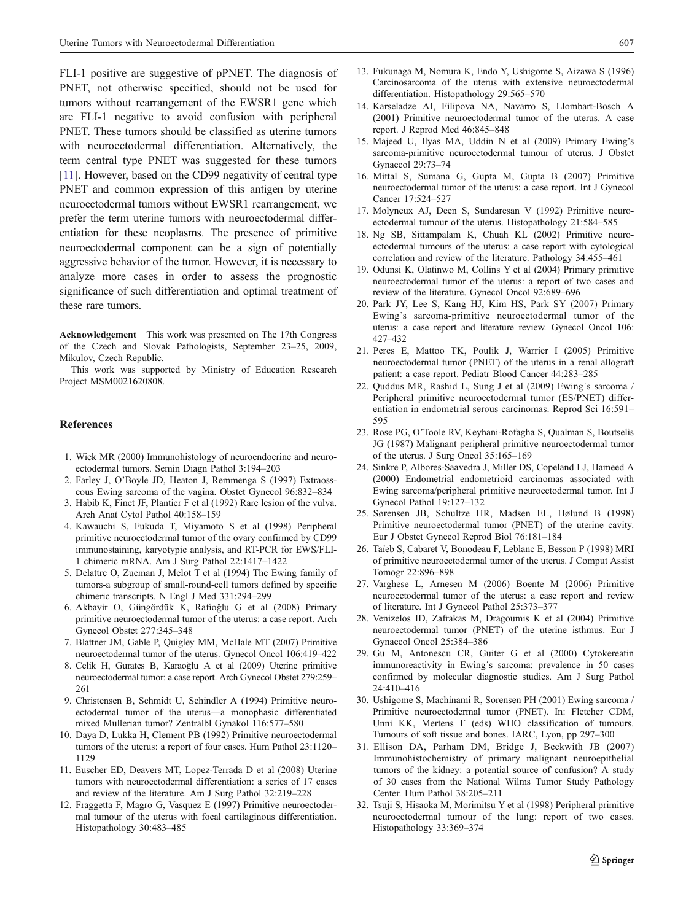<span id="page-6-0"></span>FLI-1 positive are suggestive of pPNET. The diagnosis of PNET, not otherwise specified, should not be used for tumors without rearrangement of the EWSR1 gene which are FLI-1 negative to avoid confusion with peripheral PNET. These tumors should be classified as uterine tumors with neuroectodermal differentiation. Alternatively, the term central type PNET was suggested for these tumors [11]. However, based on the CD99 negativity of central type PNET and common expression of this antigen by uterine neuroectodermal tumors without EWSR1 rearrangement, we prefer the term uterine tumors with neuroectodermal differentiation for these neoplasms. The presence of primitive neuroectodermal component can be a sign of potentially aggressive behavior of the tumor. However, it is necessary to analyze more cases in order to assess the prognostic significance of such differentiation and optimal treatment of these rare tumors.

Acknowledgement This work was presented on The 17th Congress of the Czech and Slovak Pathologists, September 23–25, 2009, Mikulov, Czech Republic.

This work was supported by Ministry of Education Research Project MSM0021620808.

## **References**

- 1. Wick MR (2000) Immunohistology of neuroendocrine and neuroectodermal tumors. Semin Diagn Pathol 3:194–203
- 2. Farley J, O'Boyle JD, Heaton J, Remmenga S (1997) Extraosseous Ewing sarcoma of the vagina. Obstet Gynecol 96:832–834
- 3. Habib K, Finet JF, Plantier F et al (1992) Rare lesion of the vulva. Arch Anat Cytol Pathol 40:158–159
- 4. Kawauchi S, Fukuda T, Miyamoto S et al (1998) Peripheral primitive neuroectodermal tumor of the ovary confirmed by CD99 immunostaining, karyotypic analysis, and RT-PCR for EWS/FLI-1 chimeric mRNA. Am J Surg Pathol 22:1417–1422
- 5. Delattre O, Zucman J, Melot T et al (1994) The Ewing family of tumors-a subgroup of small-round-cell tumors defined by specific chimeric transcripts. N Engl J Med 331:294–299
- 6. Akbayir O, Güngördük K, Rafioğlu G et al (2008) Primary primitive neuroectodermal tumor of the uterus: a case report. Arch Gynecol Obstet 277:345–348
- 7. Blattner JM, Gable P, Quigley MM, McHale MT (2007) Primitive neuroectodermal tumor of the uterus. Gynecol Oncol 106:419–422
- 8. Celik H, Gurates B, Karaoğlu A et al (2009) Uterine primitive neuroectodermal tumor: a case report. Arch Gynecol Obstet 279:259– 261
- 9. Christensen B, Schmidt U, Schindler A (1994) Primitive neuroectodermal tumor of the uterus—a monophasic differentiated mixed Mullerian tumor? Zentralbl Gynakol 116:577–580
- 10. Daya D, Lukka H, Clement PB (1992) Primitive neuroectodermal tumors of the uterus: a report of four cases. Hum Pathol 23:1120– 1129
- 11. Euscher ED, Deavers MT, Lopez-Terrada D et al (2008) Uterine tumors with neuroectodermal differentiation: a series of 17 cases and review of the literature. Am J Surg Pathol 32:219–228
- 12. Fraggetta F, Magro G, Vasquez E (1997) Primitive neuroectodermal tumour of the uterus with focal cartilaginous differentiation. Histopathology 30:483–485
- 13. Fukunaga M, Nomura K, Endo Y, Ushigome S, Aizawa S (1996) Carcinosarcoma of the uterus with extensive neuroectodermal differentiation. Histopathology 29:565–570
- 14. Karseladze AI, Filipova NA, Navarro S, Llombart-Bosch A (2001) Primitive neuroectodermal tumor of the uterus. A case report. J Reprod Med 46:845–848
- 15. Majeed U, Ilyas MA, Uddin N et al (2009) Primary Ewing's sarcoma-primitive neuroectodermal tumour of uterus. J Obstet Gynaecol 29:73–74
- 16. Mittal S, Sumana G, Gupta M, Gupta B (2007) Primitive neuroectodermal tumor of the uterus: a case report. Int J Gynecol Cancer 17:524–527
- 17. Molyneux AJ, Deen S, Sundaresan V (1992) Primitive neuroectodermal tumour of the uterus. Histopathology 21:584–585
- 18. Ng SB, Sittampalam K, Chuah KL (2002) Primitive neuroectodermal tumours of the uterus: a case report with cytological correlation and review of the literature. Pathology 34:455–461
- 19. Odunsi K, Olatinwo M, Collins Y et al (2004) Primary primitive neuroectodermal tumor of the uterus: a report of two cases and review of the literature. Gynecol Oncol 92:689–696
- 20. Park JY, Lee S, Kang HJ, Kim HS, Park SY (2007) Primary Ewing's sarcoma-primitive neuroectodermal tumor of the uterus: a case report and literature review. Gynecol Oncol 106: 427–432
- 21. Peres E, Mattoo TK, Poulik J, Warrier I (2005) Primitive neuroectodermal tumor (PNET) of the uterus in a renal allograft patient: a case report. Pediatr Blood Cancer 44:283–285
- 22. Quddus MR, Rashid L, Sung J et al (2009) Ewing´s sarcoma / Peripheral primitive neuroectodermal tumor (ES/PNET) differentiation in endometrial serous carcinomas. Reprod Sci 16:591– 595
- 23. Rose PG, O'Toole RV, Keyhani-Rofagha S, Qualman S, Boutselis JG (1987) Malignant peripheral primitive neuroectodermal tumor of the uterus. J Surg Oncol 35:165–169
- 24. Sinkre P, Albores-Saavedra J, Miller DS, Copeland LJ, Hameed A (2000) Endometrial endometrioid carcinomas associated with Ewing sarcoma/peripheral primitive neuroectodermal tumor. Int J Gynecol Pathol 19:127–132
- 25. Sørensen JB, Schultze HR, Madsen EL, Hølund B (1998) Primitive neuroectodermal tumor (PNET) of the uterine cavity. Eur J Obstet Gynecol Reprod Biol 76:181–184
- 26. Taïeb S, Cabaret V, Bonodeau F, Leblanc E, Besson P (1998) MRI of primitive neuroectodermal tumor of the uterus. J Comput Assist Tomogr 22:896–898
- 27. Varghese L, Arnesen M (2006) Boente M (2006) Primitive neuroectodermal tumor of the uterus: a case report and review of literature. Int J Gynecol Pathol 25:373–377
- 28. Venizelos ID, Zafrakas M, Dragoumis K et al (2004) Primitive neuroectodermal tumor (PNET) of the uterine isthmus. Eur J Gynaecol Oncol 25:384–386
- 29. Gu M, Antonescu CR, Guiter G et al (2000) Cytokereatin immunoreactivity in Ewing´s sarcoma: prevalence in 50 cases confirmed by molecular diagnostic studies. Am J Surg Pathol 24:410–416
- 30. Ushigome S, Machinami R, Sorensen PH (2001) Ewing sarcoma / Primitive neuroectodermal tumor (PNET). In: Fletcher CDM, Unni KK, Mertens F (eds) WHO classification of tumours. Tumours of soft tissue and bones. IARC, Lyon, pp 297–300
- 31. Ellison DA, Parham DM, Bridge J, Beckwith JB (2007) Immunohistochemistry of primary malignant neuroepithelial tumors of the kidney: a potential source of confusion? A study of 30 cases from the National Wilms Tumor Study Pathology Center. Hum Pathol 38:205–211
- 32. Tsuji S, Hisaoka M, Morimitsu Y et al (1998) Peripheral primitive neuroectodermal tumour of the lung: report of two cases. Histopathology 33:369–374